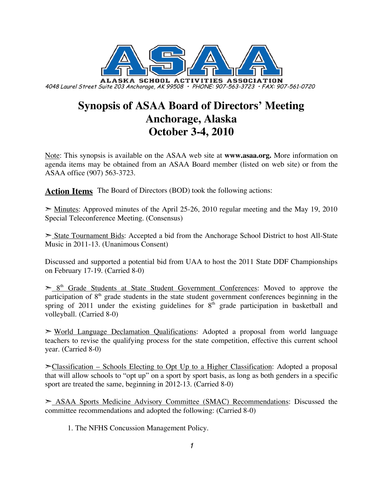

# **Synopsis of ASAA Board of Directors' Meeting Anchorage, Alaska October 3-4, 2010**

Note: This synopsis is available on the ASAA web site at **www.asaa.org.** More information on agenda items may be obtained from an ASAA Board member (listed on web site) or from the ASAA office (907) 563-3723.

**Action Items** The Board of Directors (BOD) took the following actions:

 $\geq$  Minutes: Approved minutes of the April 25-26, 2010 regular meeting and the May 19, 2010 Special Teleconference Meeting. (Consensus)

 $\geq$  State Tournament Bids: Accepted a bid from the Anchorage School District to host All-State Music in 2011-13. (Unanimous Consent)

Discussed and supported a potential bid from UAA to host the 2011 State DDF Championships on February 17-19. (Carried 8-0)

 $\geq 8$ <sup>th</sup> Grade Students at State Student Government Conferences: Moved to approve the participation of  $8<sup>th</sup>$  grade students in the state student government conferences beginning in the spring of 2011 under the existing guidelines for  $8<sup>th</sup>$  grade participation in basketball and volleyball. (Carried 8-0)

 $\triangleright$  World Language Declamation Qualifications: Adopted a proposal from world language teachers to revise the qualifying process for the state competition, effective this current school year. (Carried 8-0)

 $\geq$ Classification – Schools Electing to Opt Up to a Higher Classification: Adopted a proposal that will allow schools to "opt up" on a sport by sport basis, as long as both genders in a specific sport are treated the same, beginning in 2012-13. (Carried 8-0)

 ASAA Sports Medicine Advisory Committee (SMAC) Recommendations: Discussed the committee recommendations and adopted the following: (Carried 8-0)

1. The NFHS Concussion Management Policy.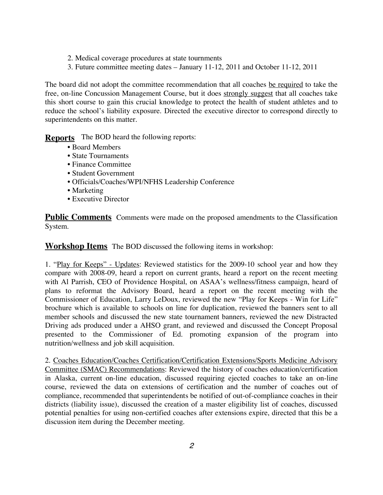- 2. Medical coverage procedures at state tournments
- 3. Future committee meeting dates January 11-12, 2011 and October 11-12, 2011

The board did not adopt the committee recommendation that all coaches be required to take the free, on-line Concussion Management Course, but it does strongly suggest that all coaches take this short course to gain this crucial knowledge to protect the health of student athletes and to reduce the school's liability exposure. Directed the executive director to correspond directly to superintendents on this matter.

**Reports** The BOD heard the following reports:

- Board Members
- State Tournaments
- Finance Committee
- Student Government
- Officials/Coaches/WPI/NFHS Leadership Conference
- Marketing
- Executive Director

**Public Comments** Comments were made on the proposed amendments to the Classification System.

**Workshop Items** The BOD discussed the following items in workshop:

1. "Play for Keeps" - Updates: Reviewed statistics for the 2009-10 school year and how they compare with 2008-09, heard a report on current grants, heard a report on the recent meeting with Al Parrish, CEO of Providence Hospital, on ASAA's wellness/fitness campaign, heard of plans to reformat the Advisory Board, heard a report on the recent meeting with the Commissioner of Education, Larry LeDoux, reviewed the new "Play for Keeps - Win for Life" brochure which is available to schools on line for duplication, reviewed the banners sent to all member schools and discussed the new state tournament banners, reviewed the new Distracted Driving ads produced under a AHSO grant, and reviewed and discussed the Concept Proposal presented to the Commissioner of Ed. promoting expansion of the program into nutrition/wellness and job skill acquisition.

2. Coaches Education/Coaches Certification/Certification Extensions/Sports Medicine Advisory Committee (SMAC) Recommendations: Reviewed the history of coaches education/certification in Alaska, current on-line education, discussed requiring ejected coaches to take an on-line course, reviewed the data on extensions of certification and the number of coaches out of compliance, recommended that superintendents be notified of out-of-compliance coaches in their districts (liability issue), discussed the creation of a master eligibility list of coaches, discussed potential penalties for using non-certified coaches after extensions expire, directed that this be a discussion item during the December meeting.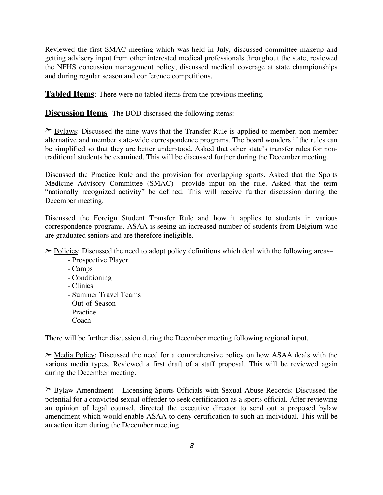Reviewed the first SMAC meeting which was held in July, discussed committee makeup and getting advisory input from other interested medical professionals throughout the state, reviewed the NFHS concussion management policy, discussed medical coverage at state championships and during regular season and conference competitions,

**Tabled Items**: There were no tabled items from the previous meeting.

**Discussion Items** The BOD discussed the following items:

 $\geq$  Bylaws: Discussed the nine ways that the Transfer Rule is applied to member, non-member alternative and member state-wide correspondence programs. The board wonders if the rules can be simplified so that they are better understood. Asked that other state's transfer rules for nontraditional students be examined. This will be discussed further during the December meeting.

Discussed the Practice Rule and the provision for overlapping sports. Asked that the Sports Medicine Advisory Committee (SMAC) provide input on the rule. Asked that the term "nationally recognized activity" be defined. This will receive further discussion during the December meeting.

Discussed the Foreign Student Transfer Rule and how it applies to students in various correspondence programs. ASAA is seeing an increased number of students from Belgium who are graduated seniors and are therefore ineligible.

 $\geq$  Policies: Discussed the need to adopt policy definitions which deal with the following areas–

- Prospective Player
- Camps
- Conditioning
- Clinics
- Summer Travel Teams
- Out-of-Season
- Practice
- Coach

There will be further discussion during the December meeting following regional input.

 $\geq$  Media Policy: Discussed the need for a comprehensive policy on how ASAA deals with the various media types. Reviewed a first draft of a staff proposal. This will be reviewed again during the December meeting.

 $\geq$  Bylaw Amendment – Licensing Sports Officials with Sexual Abuse Records: Discussed the potential for a convicted sexual offender to seek certification as a sports official. After reviewing an opinion of legal counsel, directed the executive director to send out a proposed bylaw amendment which would enable ASAA to deny certification to such an individual. This will be an action item during the December meeting.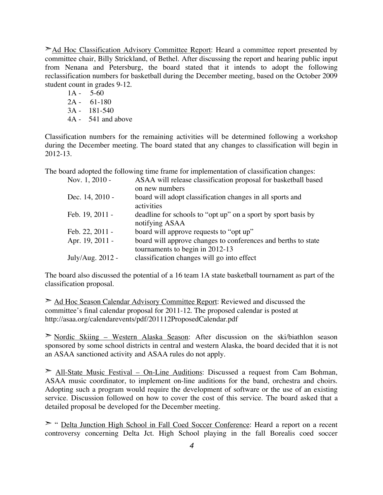Ad Hoc Classification Advisory Committee Report: Heard a committee report presented by committee chair, Billy Strickland, of Bethel. After discussing the report and hearing public input from Nenana and Petersburg, the board stated that it intends to adopt the following reclassification numbers for basketball during the December meeting, based on the October 2009 student count in grades 9-12.

 $1A - 5-60$ 

- 2A 61-180
- 3A 181-540
- 4A 541 and above

Classification numbers for the remaining activities will be determined following a workshop during the December meeting. The board stated that any changes to classification will begin in 2012-13.

The board adopted the following time frame for implementation of classification changes:

| Nov. 1, 2010 -   | ASAA will release classification proposal for basketball based                                   |
|------------------|--------------------------------------------------------------------------------------------------|
|                  | on new numbers                                                                                   |
| Dec. 14, 2010 -  | board will adopt classification changes in all sports and<br>activities                          |
| Feb. 19, 2011 -  | deadline for schools to "opt up" on a sport by sport basis by<br>notifying ASAA                  |
| Feb. 22, 2011 -  | board will approve requests to "opt up"                                                          |
| Apr. 19, 2011 -  | board will approve changes to conferences and berths to state<br>tournaments to begin in 2012-13 |
| July/Aug. 2012 - | classification changes will go into effect                                                       |
|                  |                                                                                                  |

The board also discussed the potential of a 16 team 1A state basketball tournament as part of the classification proposal.

 Ad Hoc Season Calendar Advisory Committee Report: Reviewed and discussed the committee's final calendar proposal for 2011-12. The proposed calendar is posted at http://asaa.org/calendarevents/pdf/201112ProposedCalendar.pdf

 $\geq$  Nordic Skiing – Western Alaska Season: After discussion on the ski/biathlon season sponsored by some school districts in central and western Alaska, the board decided that it is not an ASAA sanctioned activity and ASAA rules do not apply.

 $\geq$  All-State Music Festival – On-Line Auditions: Discussed a request from Cam Bohman, ASAA music coordinator, to implement on-line auditions for the band, orchestra and choirs. Adopting such a program would require the development of software or the use of an existing service. Discussion followed on how to cover the cost of this service. The board asked that a detailed proposal be developed for the December meeting.

<sup> $\geq$ </sup> " Delta Junction High School in Fall Coed Soccer Conference: Heard a report on a recent controversy concerning Delta Jct. High School playing in the fall Borealis coed soccer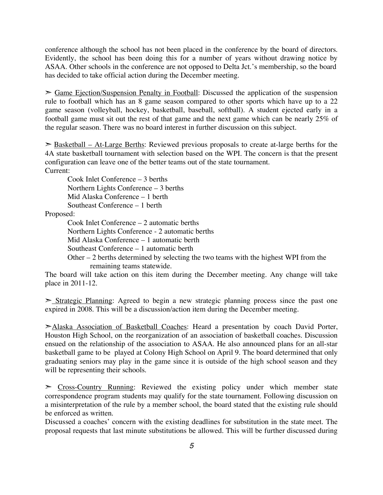conference although the school has not been placed in the conference by the board of directors. Evidently, the school has been doing this for a number of years without drawing notice by ASAA. Other schools in the conference are not opposed to Delta Jct.'s membership, so the board has decided to take official action during the December meeting.

 $\geq$  Game Ejection/Suspension Penalty in Football: Discussed the application of the suspension rule to football which has an 8 game season compared to other sports which have up to a 22 game season (volleyball, hockey, basketball, baseball, softball). A student ejected early in a football game must sit out the rest of that game and the next game which can be nearly 25% of the regular season. There was no board interest in further discussion on this subject.

 $\geq$  Basketball – At-Large Berths: Reviewed previous proposals to create at-large berths for the 4A state basketball tournament with selection based on the WPI. The concern is that the present configuration can leave one of the better teams out of the state tournament. Current:

 Cook Inlet Conference – 3 berths Northern Lights Conference – 3 berths Mid Alaska Conference – 1 berth Southeast Conference – 1 berth

Proposed:

 Cook Inlet Conference – 2 automatic berths Northern Lights Conference - 2 automatic berths Mid Alaska Conference – 1 automatic berth Southeast Conference – 1 automatic berth Other – 2 berths determined by selecting the two teams with the highest WPI from the remaining teams statewide.

The board will take action on this item during the December meeting. Any change will take place in 2011-12.

 $\geq$  Strategic Planning: Agreed to begin a new strategic planning process since the past one expired in 2008. This will be a discussion/action item during the December meeting.

>Alaska Association of Basketball Coaches: Heard a presentation by coach David Porter, Houston High School, on the reorganization of an association of basketball coaches. Discussion ensued on the relationship of the association to ASAA. He also announced plans for an all-star basketball game to be played at Colony High School on April 9. The board determined that only graduating seniors may play in the game since it is outside of the high school season and they will be representing their schools.

 $\geq$  Cross-Country Running: Reviewed the existing policy under which member state correspondence program students may qualify for the state tournament. Following discussion on a misinterpretation of the rule by a member school, the board stated that the existing rule should be enforced as written.

Discussed a coaches' concern with the existing deadlines for substitution in the state meet. The proposal requests that last minute substitutions be allowed. This will be further discussed during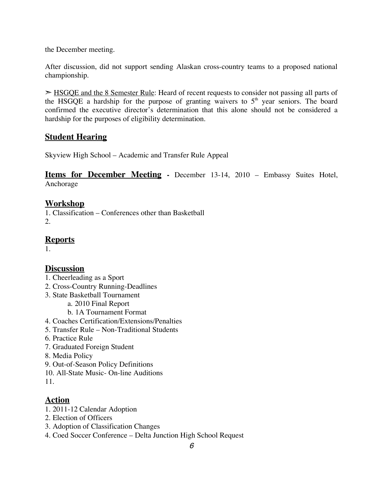the December meeting.

After discussion, did not support sending Alaskan cross-country teams to a proposed national championship.

 $\geq$  HSGQE and the 8 Semester Rule: Heard of recent requests to consider not passing all parts of the HSGQE a hardship for the purpose of granting waivers to  $5<sup>th</sup>$  year seniors. The board confirmed the executive director's determination that this alone should not be considered a hardship for the purposes of eligibility determination.

#### **Student Hearing**

Skyview High School – Academic and Transfer Rule Appeal

#### **Items for December Meeting -** December 13-14, 2010 – Embassy Suites Hotel, Anchorage

#### **Workshop**

1. Classification – Conferences other than Basketball 2.

### **Reports**

1.

#### **Discussion**

- 1. Cheerleading as a Sport
- 2. Cross-Country Running-Deadlines
- 3. State Basketball Tournament

a. 2010 Final Report

- b. 1A Tournament Format
- 4. Coaches Certification/Extensions/Penalties
- 5. Transfer Rule Non-Traditional Students
- 6. Practice Rule
- 7. Graduated Foreign Student
- 8. Media Policy
- 9. Out-of-Season Policy Definitions
- 10. All-State Music- On-line Auditions

11.

## **Action**

- 1. 2011-12 Calendar Adoption
- 2. Election of Officers
- 3. Adoption of Classification Changes
- 4. Coed Soccer Conference Delta Junction High School Request